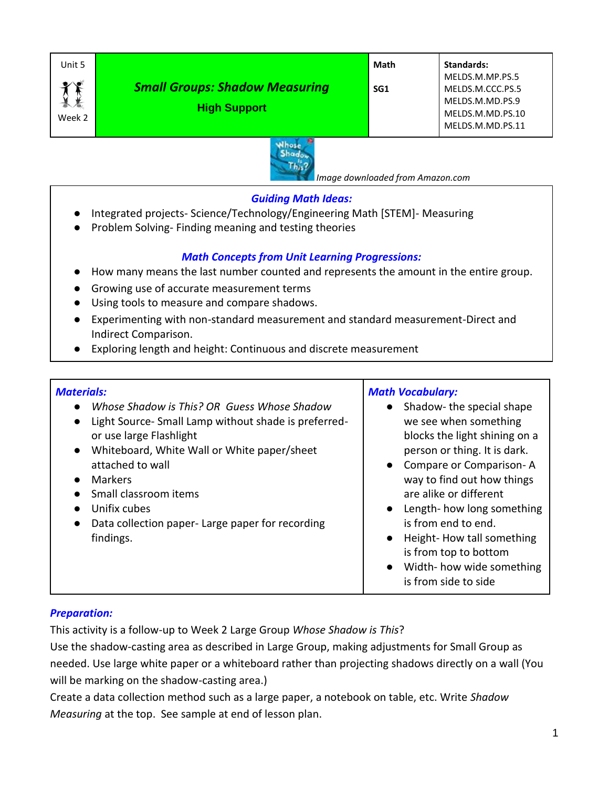| Unit 5    |                                                              | Math | Standards:                          |
|-----------|--------------------------------------------------------------|------|-------------------------------------|
| $\bullet$ | <b>Small Groups: Shadow Measuring</b><br><b>High Support</b> | SG1  | MELDS.M.MP.PS.5<br>MELDS.M.CCC.PS.5 |
|           |                                                              |      | MELDS.M.MD.PS.9<br>MELDS.M.MD.PS.10 |
| Week 2    |                                                              |      | MELDS.M.MD.PS.11                    |



 *Image downloaded from Amazon.com*

## *Guiding Math Ideas:*

- Integrated projects- Science/Technology/Engineering Math [STEM]- Measuring
- Problem Solving- Finding meaning and testing theories

## *Math Concepts from Unit Learning Progressions:*

- How many means the last number counted and represents the amount in the entire group.
- Growing use of accurate measurement terms
- Using tools to measure and compare shadows.
- Experimenting with non-standard measurement and standard measurement-Direct and Indirect Comparison.
- Exploring length and height: Continuous and discrete measurement

#### *Materials:* ● *Whose Shadow is This? OR Guess Whose Shadow* ● Light Source- Small Lamp without shade is preferredor use large Flashlight ● Whiteboard, White Wall or White paper/sheet attached to wall ● Markers ● Small classroom items ● Unifix cubes ● Data collection paper- Large paper for recording findings. *Math Vocabulary:* ● Shadow- the special shape we see when something blocks the light shining on a person or thing. It is dark. ● Compare or Comparison- A way to find out how things are alike or different ● Length- how long something is from end to end. ● Height-How tall something is from top to bottom ● Width- how wide something is from side to side

#### *Preparation:*

This activity is a follow-up to Week 2 Large Group *Whose Shadow is This*?

Use the shadow-casting area as described in Large Group, making adjustments for Small Group as needed. Use large white paper or a whiteboard rather than projecting shadows directly on a wall (You will be marking on the shadow-casting area.)

Create a data collection method such as a large paper, a notebook on table, etc. Write *Shadow Measuring* at the top. See sample at end of lesson plan.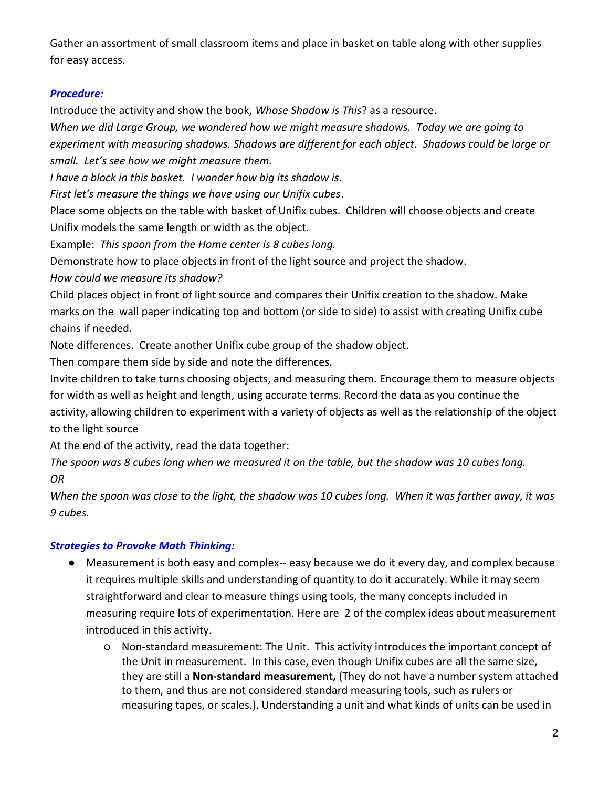Gather an assortment of small classroom items and place in basket on table along with other supplies for easy access.

# *Procedure:*

Introduce the activity and show the book, *Whose Shadow is This*? as a resource.

*When we did Large Group, we wondered how we might measure shadows. Today we are going to experiment with measuring shadows. Shadows are different for each object. Shadows could be large or small. Let's see how we might measure them.*

*I have a block in this basket. I wonder how big its shadow is*.

*First let's measure the things we have using our Unifix cubes*.

Place some objects on the table with basket of Unifix cubes. Children will choose objects and create Unifix models the same length or width as the object.

Example: *This spoon from the Home center is 8 cubes long.*

Demonstrate how to place objects in front of the light source and project the shadow.

*How could we measure its shadow?*

Child places object in front of light source and compares their Unifix creation to the shadow. Make marks on the wall paper indicating top and bottom (or side to side) to assist with creating Unifix cube chains if needed.

Note differences. Create another Unifix cube group of the shadow object.

Then compare them side by side and note the differences.

Invite children to take turns choosing objects, and measuring them. Encourage them to measure objects for width as well as height and length, using accurate terms. Record the data as you continue the activity, allowing children to experiment with a variety of objects as well as the relationship of the object to the light source

At the end of the activity, read the data together:

*The spoon was 8 cubes long when we measured it on the table, but the shadow was 10 cubes long. OR*

*When the spoon was close to the light, the shadow was 10 cubes long. When it was farther away, it was 9 cubes.*

# *Strategies to Provoke Math Thinking:*

- Measurement is both easy and complex-- easy because we do it every day, and complex because it requires multiple skills and understanding of quantity to do it accurately. While it may seem straightforward and clear to measure things using tools, the many concepts included in measuring require lots of experimentation. Here are 2 of the complex ideas about measurement introduced in this activity.
	- Non-standard measurement: The Unit. This activity introduces the important concept of the Unit in measurement. In this case, even though Unifix cubes are all the same size, they are still a **Non-standard measurement,** (They do not have a number system attached to them, and thus are not considered standard measuring tools, such as rulers or measuring tapes, or scales.). Understanding a unit and what kinds of units can be used in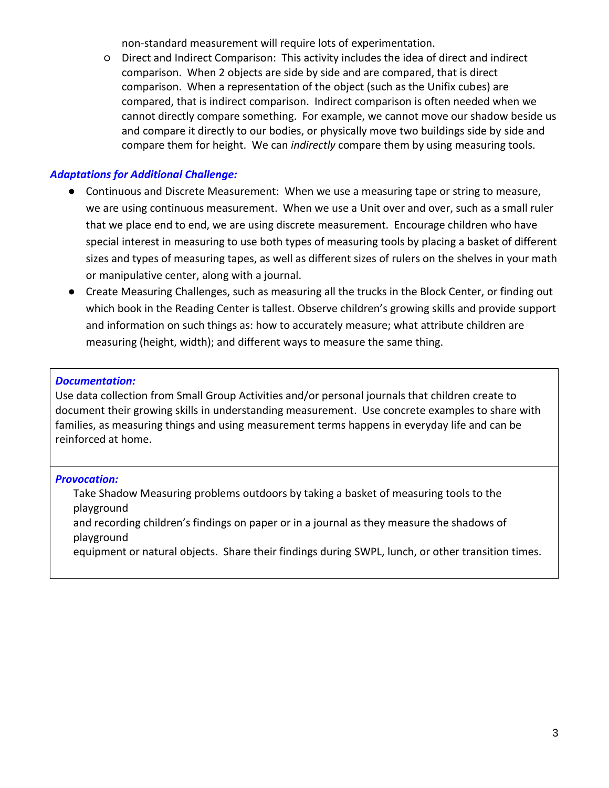non-standard measurement will require lots of experimentation.

○ Direct and Indirect Comparison: This activity includes the idea of direct and indirect comparison. When 2 objects are side by side and are compared, that is direct comparison. When a representation of the object (such as the Unifix cubes) are compared, that is indirect comparison. Indirect comparison is often needed when we cannot directly compare something. For example, we cannot move our shadow beside us and compare it directly to our bodies, or physically move two buildings side by side and compare them for height. We can *indirectly* compare them by using measuring tools.

## *Adaptations for Additional Challenge:*

- Continuous and Discrete Measurement: When we use a measuring tape or string to measure, we are using continuous measurement. When we use a Unit over and over, such as a small ruler that we place end to end, we are using discrete measurement. Encourage children who have special interest in measuring to use both types of measuring tools by placing a basket of different sizes and types of measuring tapes, as well as different sizes of rulers on the shelves in your math or manipulative center, along with a journal.
- Create Measuring Challenges, such as measuring all the trucks in the Block Center, or finding out which book in the Reading Center is tallest. Observe children's growing skills and provide support and information on such things as: how to accurately measure; what attribute children are measuring (height, width); and different ways to measure the same thing.

#### *Documentation:*

Use data collection from Small Group Activities and/or personal journals that children create to document their growing skills in understanding measurement. Use concrete examples to share with families, as measuring things and using measurement terms happens in everyday life and can be reinforced at home.

#### *Provocation:*

Take Shadow Measuring problems outdoors by taking a basket of measuring tools to the playground

and recording children's findings on paper or in a journal as they measure the shadows of playground

equipment or natural objects. Share their findings during SWPL, lunch, or other transition times.